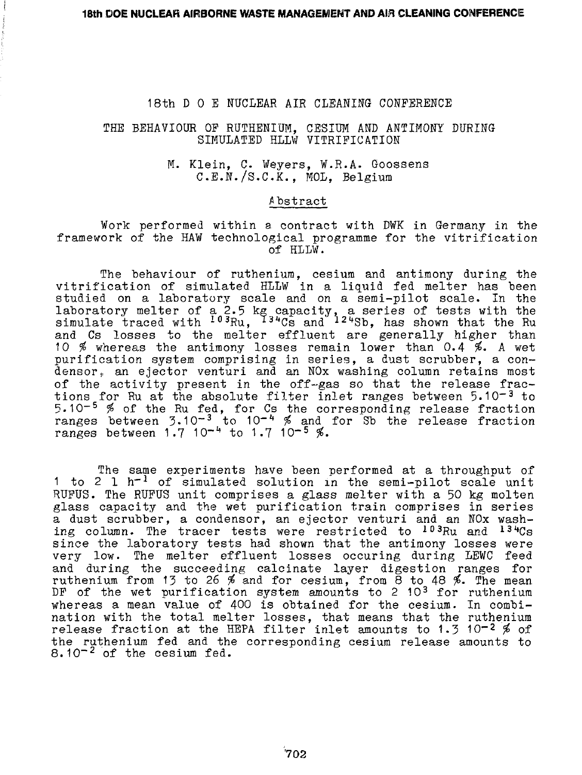## THE BEHAVIOUR OP RUTHENIUM, CESIUM AND ANTIMONY DURING SIMULATED HLLW VITRIFICATION

### M. Klein, C. Weyers, W.R.A. Goossens C.E.N./S.C.K., MOL, Belgium

### Abstract

#### Work performed within a contract with DWK in Germany in the framework of the HAW technological programme for the vitrification of HLLW.

The behaviour of ruthenium, cesium and antimony during the vitrification of simulated HLLW in a liquid fed melter has been studied on a laboratory scale and on a semi-pilot scale. In the laboratory melter of a 2.5 kg capacity, a series of tests with the simulate traced with  $^{1\,9}$ Ru,  $^{1\,3\,4}$ Cs and  $^{1\,2\,4}$ Sb, has shown that the Ru and Cs losses to the melter effluent are generally higher than 10  $%$  whereas the antimony losses remain lower than 0.4  $%$ . A wet purification system comprising in series, a dust scrubber, a condensor, an ejector venturi and an NOx washing column retains most of the activity present in the off-gas so that the release fractions for Ru at the absolute filter inlet ranges between 5.10<sup>-3</sup> to 5.10<sup>-5</sup>  $\%$  of the Ru fed, for Cs the corresponding release fraction ranges between  $3.10^{-3}$  to  $10^{-4}$  % and for Sb the release fraction ranges between  $1.7 \times 10^{-4}$  to  $1.7 \times 10^{-5}$  %.

The same experiments have been performed at a throughput of 1 to 2 1  $h^{-1}$  of simulated solution in the semi-pilot scale unit RUFUS. The RUFUS unit comprises a glass melter with a 50 kg molten glass capacity and the wet purification train comprises in series a dust scrubber, a condensor, an ejector venturi and an NOx washing column. The tracer tests were restricted to <sup>103</sup>Ru and <sup>134</sup>Cs since the laboratory tests had shown that the antimony losses were very low. The melter effluent losses occuring during LEWC feed and during the succeeding calcinate layer digestion ranges for ruthenium from 13 to 26  $\%$  and for cesium, from 8 to 48  $\%$ . The mean DF of the wet purification system amounts to 2 10<sup>3</sup> for ruthenium whereas a mean value of 400 is obtained for the cesium. In combination with the total melter losses, that means that the ruthenium release fraction at the HEPA filter inlet amounts to 1.3 10<sup>-2</sup>  $\%$  of the ruthenium fed and the corresponding cesium release amounts to 8.10<sup>-2</sup> of the cesium fed.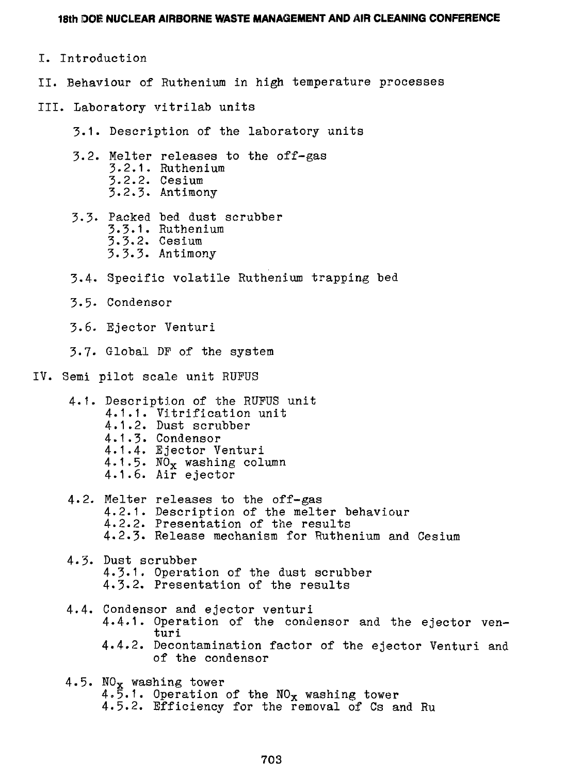- I. Introduction
- II. Behaviour of Ruthenium in high temperature processes
- III. Laboratory vitrilab units
	- 3.1. Description of the laboratory units
	- 3.2. Melter releases to the off-gas 3-2.1. Ruthenium 3.2.2. Cesium 3.2.3. Antimony
	- 3.3. Packed bed dust scrubber 3.3.1. Ruthenium<br>3.3.2. Cesium 3.3.2. Cesium  $\sum$ ,  $\sum$ ,  $\sum$ ,  $\sum$ ,  $\sum$ ,  $\sum$ ,  $\sum$ ,  $\sum$ ,  $\sum$ ,  $\sum$ ,  $\sum$ ,  $\sum$ ,  $\sum$ ,  $\sum$ ,  $\sum$ ,  $\sum$ ,  $\sum$ ,  $\sum$ ,  $\sum$ ,  $\sum$ ,  $\sum$ ,  $\sum$ ,  $\sum$ ,  $\sum$ ,  $\sum$ ,  $\sum$ ,  $\sum$ ,  $\sum$ ,  $\sum$ ,  $\sum$ ,  $\sum$ ,  $\sum$ ,  $\sum$ ,  $\sum$ ,  $\sum$ ,  $\sum$ ,  $\sum$ ,
	- 3.4. Specific volatile Ruthenium trapping bed
	- 3.5- Condensor
	- 3.6. Ejector Venturi
	- 3.7. Global DF of the system
- IV. Semi pilot scale unit RUPUS
	- 4.1. Description of the RUPUS unit  $4.1.2.$  Dust scrubber 4.1.3. Condensor 4.1.4. Ejector Venturi 4.1.5.  $NO_x$  washing column  $4.1.6.$  Air ejector 4.1.6. Air ejector
	- 4.2. Melter releases to the off-gas 4.2.1. Description of the melter behaviour 4.2.2. Presentation of the results 4.2.3. Release mechanism for Ruthenium and Cesium
	- 4.3. Dust scrubber 4-3.1. Operation of the dust scrubber 4.3.2. Presentation of the results
	- 4.4. Condensor and ejector venturi 4.4.1. Operation of the condensor and the ejector venturi 4.4.2. Decontamination factor of the ejector Venturi and of the condensor
	- 4.5. N0x washing tower 4.5.1. Operation of the  $NO_x$  washing tower 4.5.2. Efficiency for the removal of Cs and Ru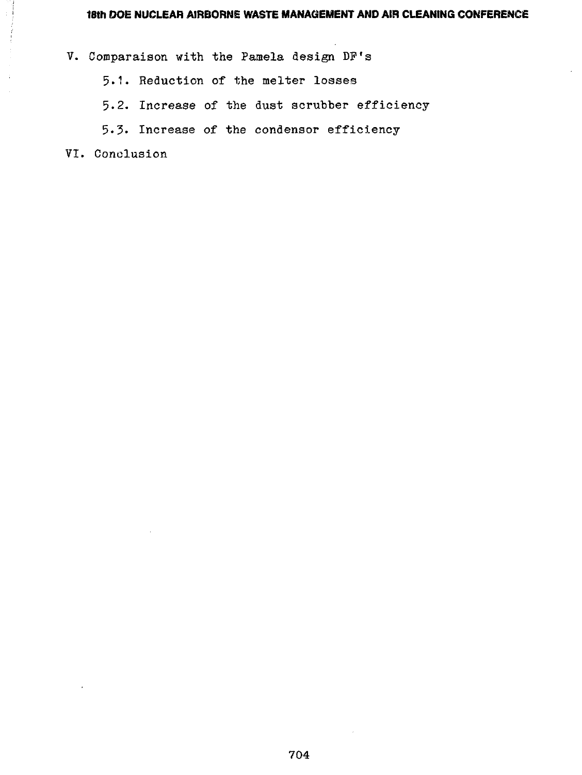V. Comparaison with the Pamela design DP's

5.1. Reduction of the melter losses

5.2. Increase of the dust scrubber efficiency

5-3. Increase of the condensor efficiency

VI. Conclusion

÷.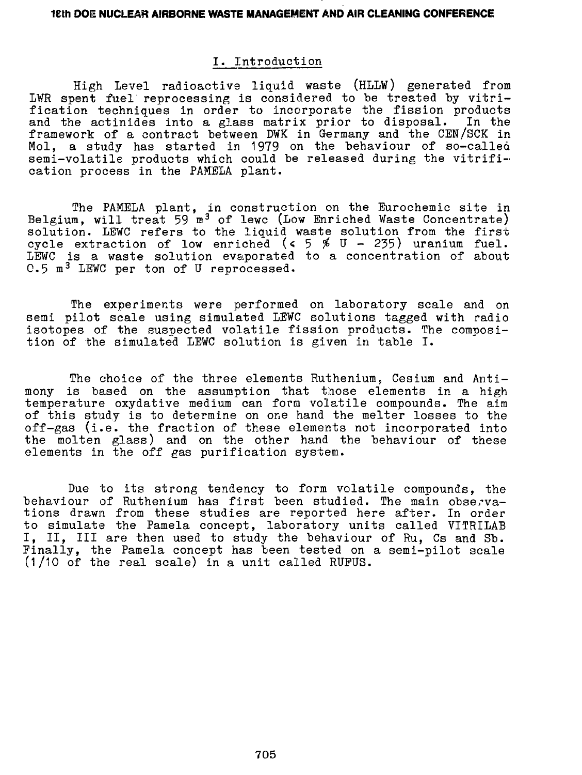# I. Introduction

High Level radioactive liquid waste (HLLW) generated from LWR spent fuel reprocessing is considered to be treated by vitrification techniques in order to incorporate the fission products and the actinides into a glass matrix prior to disposal. In the framework of a contract between DWK in Germany and the CEN/SCK in Mol, a study has started in 1979 on the behaviour of so-called semi-volatile products which could be released during the vitrification process in the PAMELA plant.

The PAMELA plant, in construction on the Eurochemic site in Belgium, will treat 59 m<sup>3</sup> of lewc (Low Enriched Waste Concentrate) solution. LEWC refers to the liquid waste solution from the first cycle extraction of low enriched (< 5  $\%$  U - 235) uranium fuel. LEWC is a waste solution evaporated to a concentration of about 0.5 m<sup>3</sup> LEWC per ton of U reprocessed.

The experiments were performed on laboratory scale and on semi pilot scale using simulated LEWC solutions tagged with radio isotopes of the suspected volatile fission products. The composition of the simulated LEWC solution is given in table I.

The choice of the three elements Ruthenium, Cesium and Antimony is based on the assumption that those elements in a high temperature oxydative medium can form volatile compounds. The aim of this study is to determine on one hand the melter losses to the off-gas (i.e. the fraction of these elements not incorporated into the molten glass) and on the other hand the behaviour of these elements in the off gas purification system.

Due to its strong tendency to form volatile compounds, the behaviour of Ruthenium has first been studied. The main observations drawn from these studies are reported here after. In order to simulate the Pamela concept, laboratory units called VITRILAB I, II, III are then used to study the behaviour of Ru, Cs and Sb. Finally, the Pamela concept has been tested on a semi-pilot scale  $(1/10$  of the real scale) in a unit called RUFUS.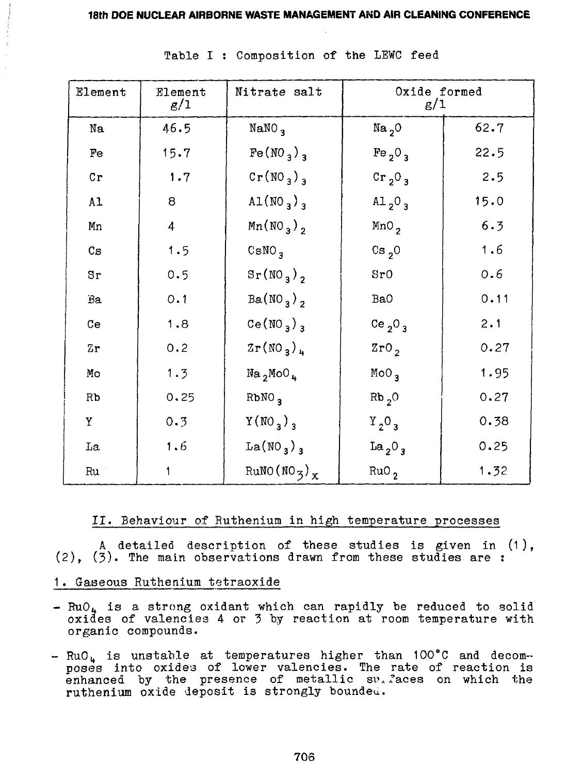| Element          | Element<br>g/1 | Nitrate salt                        | Oxide formed<br>g/1            |      |
|------------------|----------------|-------------------------------------|--------------------------------|------|
| Na               | 46.5           | NaNO <sub>3</sub>                   | Na <sub>2</sub> O              | 62.7 |
| Fe               | 15.7           | $Fe(MO_3)$ <sub>3</sub>             | Fe <sub>2</sub> $03$           | 22.5 |
| Cr               | 1.7            | $Cr(NO_3)_3$                        | Cr <sub>2</sub> $03$           | 2.5  |
| A1               | 8              | AL(NO <sub>3</sub> ) <sub>3</sub>   | Al <sub>2</sub> O <sub>3</sub> | 15.0 |
| Мn               | $\overline{4}$ | Mn(NO <sub>3</sub> ) <sub>2</sub>   | MnO <sub>2</sub>               | 6.3  |
| $C_{\mathbf{S}}$ | 1.5            | $C$ sNO <sub>3</sub>                | $Cs_{2}$ 0                     | 1.6  |
| Sr               | 0.5            | $S_{r}(\text{NO}_3)$ <sub>2</sub>   | 8r0                            | 0.6  |
| Вa               | 0.1            | $Ba(NO_3)$                          | Ba0                            | 0.11 |
| Ce               | 1.8            | Ce(NO <sub>3</sub> ) <sub>3</sub>   | Ce $2^0$ 3                     | 2.1  |
| Zη               | 0.2            | $2r(NO_3)_4$                        | 2r0,                           | 0.27 |
| Мo               | 1.3            | Na <sub>2</sub> MoO <sub>4</sub>    | MoO <sub>3</sub>               | 1.95 |
| Rb               | 0.25           | RbNO <sub>3</sub>                   | $Rb2$ O                        | 0.27 |
| Y                | 0.3            | Y(NO <sub>3</sub> ) <sub>3</sub>    | $Y_2O_3$                       | 0.38 |
| Lа               | 1.6            | La(NO <sub>3</sub> ) <sub>3</sub>   | La <sub>2</sub> O <sub>3</sub> | 0.25 |
| Ru               | 1              | RuNO(NO <sub>3</sub> ) <sub>x</sub> | RuO <sub>2</sub>               | 1.32 |

Table I : Composition of the LEWC feed

### **II.** Behaviour of Ruthenium in high temperature processes

A detailed description of these studies is given in (1 ), (2), (3). The main observations drawn from these studies are :

- 1. Gaseous Ruthenium tetraoxide
- $-$  RuO<sub>k</sub> is a strong oxidant which can rapidly be reduced to solid oxides of valencies 4 or 3 by reaction at room temperature with organic compounds.
- 4 is unstable at temperatures higher than 100\*C and decomposes into oxides of lower valencies. The rate of reaction is poses into cxides of lower valencies. He late of leadtion is<br>enhanced by the presence of metallic surfaces on which the ruthenium oxide deposit is strongly boundeu.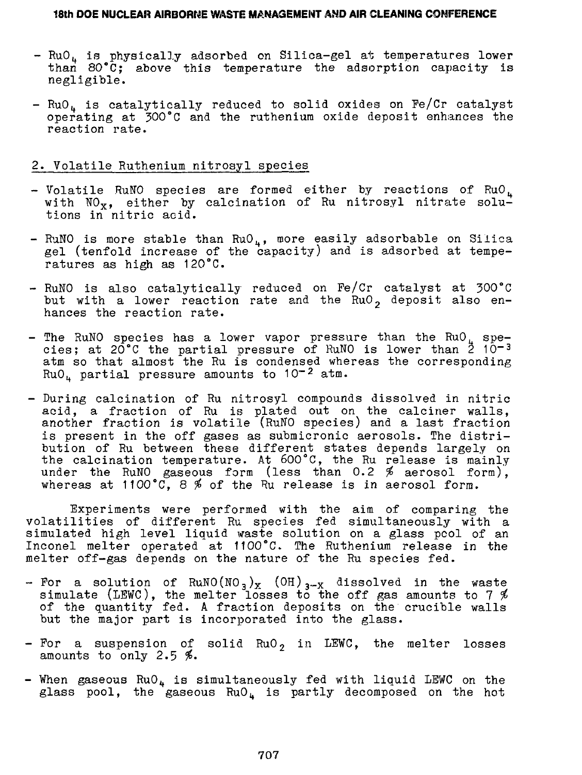- RuO4 is physically adsorbed on Silica-gel at temperatures lower than 80"C; above this temperature the adsorption capacity is negligible.
- $RuO<sub>h</sub>$  is catalytically reduced to solid oxides on Fe/Cr catalyst operating at 300°C and the ruthenium oxide deposit enhances the reaction rate.

#### 2. Volatile Ruthenium nitrosyl species

- Volatile RuNO species are formed either by reactions of  $RuO<sub>1</sub>$ with  $NO_{x}$ , either by calcination of Ru nitrosyl nitrate solutions in nitric acid.
- RuNO is more stable than  $RuO<sub>u</sub>$ , more easily adsorbable on Silica gel (tenfold increase of the capacity) and is adsorbed at temperatures as high as 120°C.
- RuNO is also catalytically reduced on Pe/Cr catalyst at 300°C but with a lower reaction rate and the RuO $_2$  deposit also enhances the reaction rate.
- The RuNO species has a lower vapor pressure than the RuO<sub>L</sub> species; at 20°C the partial pressure of RuNO is lower than  $\frac{3}{2}$  10-3 atm so that almost the Ru is condensed whereas the corresponding  $RuO<sub>u</sub>$  partial pressure amounts to 10<sup>-2</sup> atm.
- During calcination of Ru nitrosyl compounds dissolved in nitric acid, a fraction of Ru is plated out on the calciner walls, another fraction is volatile (RuNO species) and a last fraction is present in the off gases as submicronic aerosols. The distribution of Ru between these different states depends largely on the calcination temperature. At 600°C, the Ru release is mainly under the RuNO gaseous form (less than 0.2  $%$  aerosol form), whereas at 1100°C, 8 \$ of the Ru release is in aerosol form.

Experiments were performed with the aim of comparing the volatilities of different Ru species fed simultaneously with a simulated high level liquid waste solution on a glass pool of an Inconel melter operated at 1100°C. The Ruthenium release in the melter off-gas depends on the nature of the Ru species fed.

- For a solution of  $\text{\sc RuNO}(\text{\sc NO}_3)_\text{\sc X}$  (OH) $_{3-\text{\sc X}}$  dissolved in the waste simulate (LEWC), the melter losses to the off gas amounts to 7  $\rlap{\%}$ of the quantity fed. A fraction deposits on the crucible walls but the major part is incorporated into the glass.
- $-$  For a suspension of solid RuO<sub>2</sub> in LEWC, the melter losses amounts to only  $2.5$  %.
- When gaseous  $RuO_{\mu}$  is simultaneously fed with liquid LEWC on the glass pool, the gaseous  $RuO<sub>u</sub>$  is partly decomposed on the hot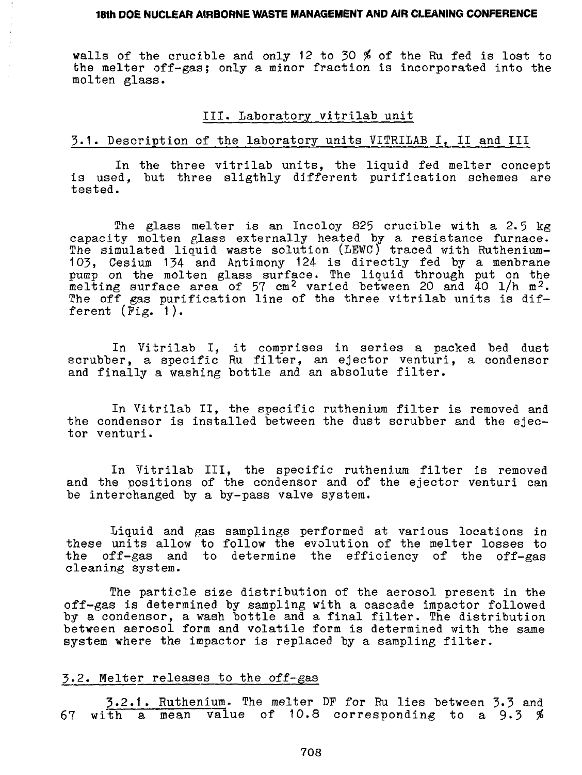walls of the crucible and only 12 to 30 % of the Ru fed is lost to the melter off-gas; only a minor fraction is incorporated into the molten glass.

#### III. Laboratory vitrilab unit

#### 5.1. Description of the laboratory units VITRILAB I, II and III

In the three vitrilab units, the liquid fed melter concept is used, but three sligthly different purification schemes are tested.

The glass melter is an Incoloy 825 crucible with a 2.5 kg capacity molten glass externally heated by a resistance furnace. The simulated liquid waste solution (LEWC) traced with Ruthenium-103, Cesium 134 and Antimony 124 is directly fed by a menbrane pump on the molten glass surface. The liquid through put on the melting surface area of 57 cm<sup>2</sup> varied between 20 and 40 l/h m<sup>2</sup>. The off gas purification line of the three vitrilab units is different  $(Fig, 1)$ .

In Vitrilab I, it comprises in series a packed bed dust scrubber, a specific Ru filter, an ejector venturi, a condensor and finally a washing bottle and an absolute filter.

In Vitrilab II, the specific ruthenium filter is removed and the condensor is installed between the dust scrubber and the ejector venturi.

In Vitrilab III, the specific ruthenium filter is removed and the positions of the condensor and of the ejector venturi can be interchanged by a by-pass valve system.

Liquid and gas samplings performed at various locations in these units allow to follow the evolution of the melter losses to the off-gas and to determine the efficiency of the off-gas cleaning system.

The particle size distribution of the aerosol present in the off-gas is determined by sampling with a cascade impactor followed by a condensor, a wash bottle and a final filter. The distribution between aerosol form and volatile form is determined with the same system where the impactor is replaced by a sampling filter.

### 3.2. Melter releases to the off-gas

5.2.1 . Ruthenium. The melter DP for Ru lies between 3-3 and 67 with a mean value of 10.8 corresponding to a 9.3 \$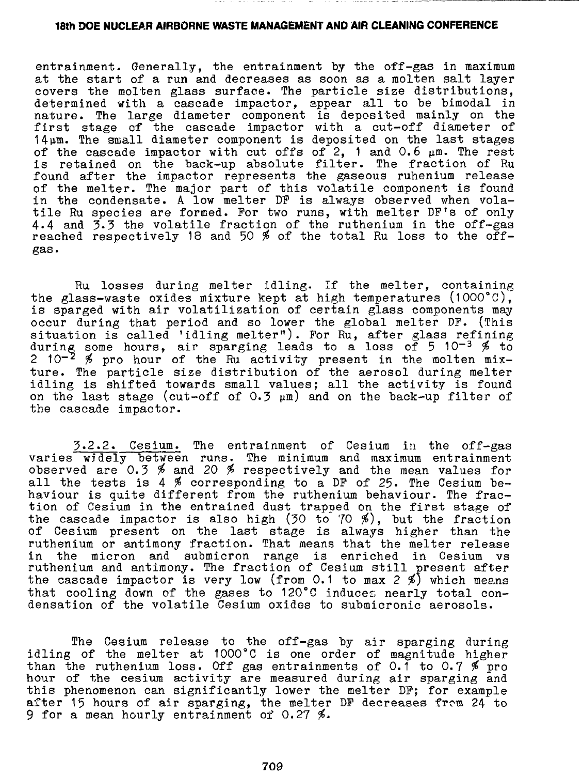entrainment. Generally, the entrainment by the off-gas in maximum at the start of a run and decreases as soon as a molten salt layer covers the molten glass surface. The particle size distributions, determined with a cascade impactor, appear all to be bimodal in nature. The large diameter component is deposited mainly on the first stage of the cascade impactor with a cut-off diameter of 14pm. The small diameter component is deposited on the last stages of the cascade impactor with cut offs of 2, 1 and 0.6  $\mu$ m. The rest is retained on the back-up absolute filter. The fraction of Ru found after the impactor represents the gaseous ruhenium release of the melter. The major part of this volatile component is found in the condensate. A low melter DP is always observed when volatile Ru species are formed. For two runs, with melter DF's of only 4.4 and 3-3 the volatile fraction of the ruthenium in the off-gas reached respectively 18 and 50 % of the total Ru loss to the offgas.

Ru losses during melter idling. If the melter, containing the glass-waste oxides mixture kept at high temperatures (1OOO°C), is sparged with air volatilization of certain glass components may occur during that period and so lower the global melter DP. (This situation is called 'idling melter"). For Ru, after glass refining during some hours, air sparging leads to a loss of 5 10-3  $\%$  to 2 10<sup>-2</sup>  $\%$  pro hour of the Ru activity present in the molten mixture. The particle size distribution of the aerosol during melter idling is shifted towards small values; all the activity is found on the last stage (cut-off of  $0.3 \mu m$ ) and on the back-up filter of the cascade impactor.

3.2.2. Cesium. The entrainment of Cesium in the off-gas varies widely between runs. The minimum and maximum entrainment observed are 0.3 % and 20 % respectively and the mean values for all the tests is 4  $\%$  corresponding to a DF of 25. The Cesium behaviour is quite different from the ruthenium behaviour. The fraction of Cesium in the entrained dust trapped on the first stage of the cascade impactor is also high (30 to 70 %), but the fraction of Cesium present on the last stage is always higher than the ruthenium or antimony fraction. That means that the melter release in the micron and submicron range is enriched in Cesium vs ruthenium and antimony. The fraction of Cesium still present after the cascade impactor is very low (from 0.1 to max 2 %) which means that cooling down of the gases to 120°C induces nearly total condensation of the volatile Cesium oxides to submicronic aerosols.

The Cesium release to the off-gas by air sparging during idling of the melter at  $1000^{\circ}$ C is one order of magnitude higher than the ruthenium loss. Off gas entrainments of 0.1 to 0.7  $\%$  pro hour of the cesium activity are measured during air sparging and this phenomenon can significantly lower the melter DP; for example after 15 hours of air sparging, the melter DP decreases from 24 to 9 for a mean hourly entrainment of 0.27 %.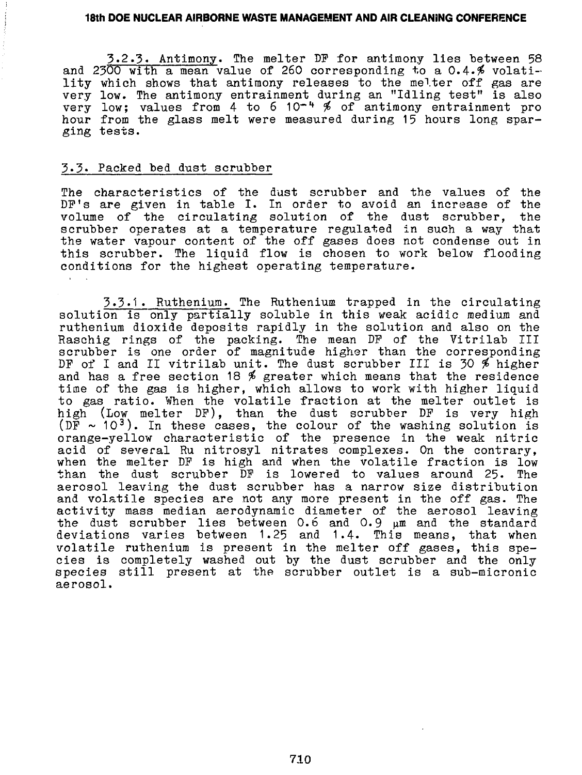3.2.3« Antimony. The melter DP for antimony lies between 58 and 2300 with a mean value of 260 corresponding to a  $0.4.$  # volatility which shows that antimony releases to the melter off gas are very low. The antimony entrainment during an "Idling test" is also very low; values from 4 to 6 10<sup>-4</sup> % of antimony entrainment pro hour from the glass melt were measured during 15 hours long sparging tests.

### 3.3. Packed bed dust scrubber

The characteristics of the dust scrubber and the values of the DP's are given in table I. In order to avoid an increase of the volume of the circulating solution of the dust scrubber, the scrubber operates at a temperature regulated in such a way that the water vapour content of the off gases does not condense out in this scrubber. The liquid flow is chosen to work below flooding conditions for the highest operating temperature.

3.3.1 . Ruthenium. The Ruthenium trapped in the circulating solution is only partially soluble in this weak acidic medium and ruthenium dioxide deposits rapidly in the solution and also on the Raschig rings of the packing. The mean DF of the Vitrilab III scrubber is one order of magnitude higher than the corresponding DF of I and II vitrilab unit. The dust scrubber III is 30  $\frac{3}{2}$  higher and has a free section 18  $%$  greater which means that the residence time of the gas is higher, which allows to work with higher liquid to gas ratio. When the volatile fraction at the melter outlet is high (Low melter DP), than the dust scrubber DP is very high (DF  $\sim$  10<sup>3</sup>). In these cases, the colour of the washing solution is orange-yellow characteristic of the presence in the weak nitric acid of several Ru nitrosyl nitrates complexes. On the contrary, when the melter DP is high and when the volatile fraction is low than the dust scrubber DP is lowered to values around 25. The aerosol leaving the dust scrubber has a narrow size distribution and volatile species are not any more present in the off gas. The activity mass median aerodynamic diameter of the aerosol leaving the dust scrubber lies between 0.6 and 0.9  $\mu$ m and the standard deviations varies between 1.25 and 1.4. This means, that when volatile ruthenium is present in the melter off gases, this species is completely washed out by the dust scrubber and the only species still present at the scrubber outlet is a sub-micronic aerosol.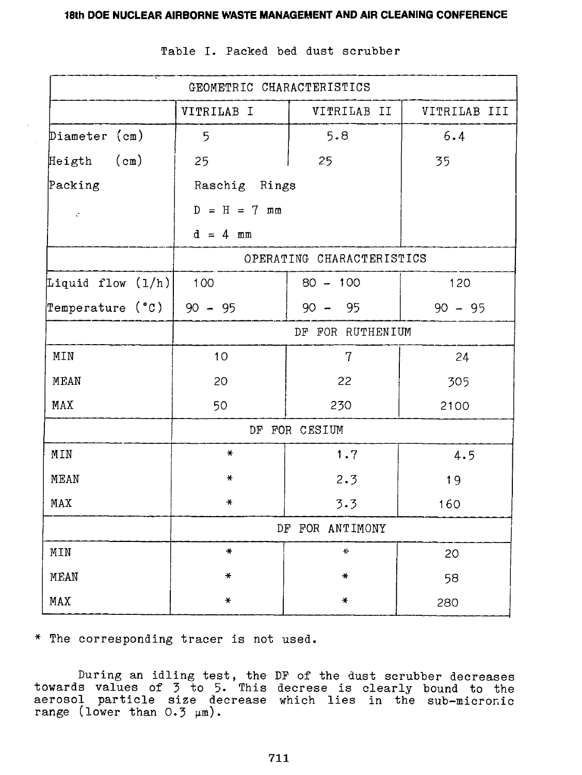| GEOMETRIC CHARACTERISTICS |                  |                           |              |  |
|---------------------------|------------------|---------------------------|--------------|--|
|                           | VITRILAB I       | VITRILAB II               | VITRILAB III |  |
| Diameter (cm)             | 5                | 5.8                       | 6.4          |  |
| Heigth (cm)               | 25               | 25                        | 35           |  |
| Packing                   | Raschig Rings    |                           |              |  |
| $\ddot{\ddot{\zeta}}$     | $D = H = 7$ mm   |                           |              |  |
|                           | $d = 4$ mm       |                           |              |  |
|                           |                  | OPERATING CHARACTERISTICS |              |  |
| Liquid flow (1/h)         | 100              | $80 - 100$                | 120          |  |
| Temperature (°C)          | $90 - 95$        | $90 -$<br>- 95            | $90 - 95$    |  |
|                           | DF FOR RUTHENIUM |                           |              |  |
| MIN                       | 10               | 7                         | 24           |  |
| MEAN                      | 20               | 22                        | 305          |  |
| MAX                       | 50               | 230                       | 2100         |  |
|                           |                  | DF FOR CESIUM             |              |  |
| MIN                       | $\ast$           | 1.7                       | 4.5          |  |
| MEAN                      | *                | 2.3                       | 19           |  |
| MAX                       | $\star$          | 3.3                       | 160          |  |
|                           | DF FOR ANTIMONY  |                           |              |  |
| MIN                       | $\star$          | $\star$                   | 20           |  |
| MEAN                      | ₩                | $\ast$                    | 58           |  |
| MAX                       | ₩                | ₩                         | 280          |  |

Table I. Packed bed dust scrubber

\* The corresponding tracer is not used.

During an idling test, the DP of the dust scrubber decreases towards values of 3 to 5- This decrese is clearly bound to the aerosol particle size decrease which lies in the sub-micronic range (lower than  $0.5 \mu m$ )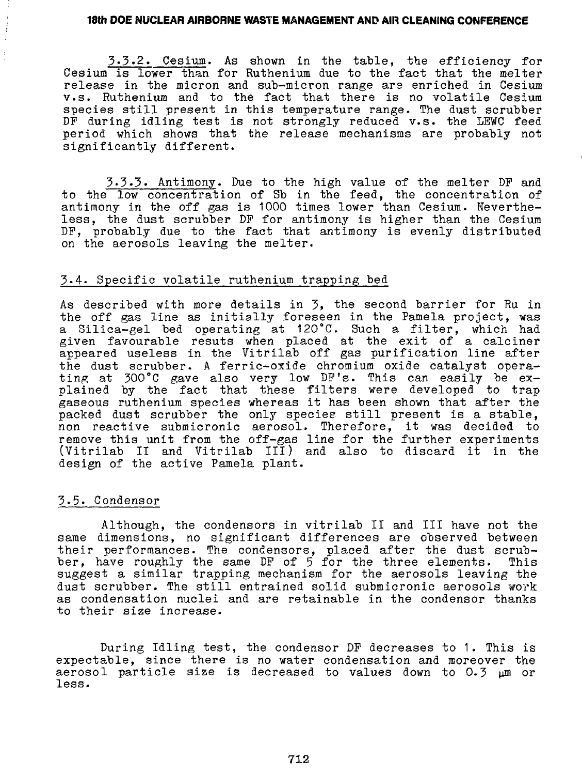3.3.2. Cesium. As shown in the table, the efficiency for Cesium is lower than for Ruthenium due to the fact that the melter release in the micron and sub-micron range are enriched in Cesium v.s. Ruthenium and to the fact that there is no volatile Cesium species still present in this temperature range. The dust scrubber DF during idling test is not strongly reduced v.s. the LEWC feed period which shows that the release mechanisms are probably not significantly different.

3.3.3. Antimony. Due to the high value of the melter DP and to the low concentration of Sb in the feed, the concentration of antimony in the off gas is 1000 times lower than Cesium. Nevertheless, the dust scrubber DP for antimony is higher than the Cesium DF, probably due to the fact that antimony is evenly distributed on the aerosols leaving the melter.

### 3.4. Specific volatile ruthenium trapping bed

As described with more details in 3, the second barrier for Ru in the off gas line as initially foreseen in the Pamela project, was a Silica-gel bed operating at 120°C. Such a filter, which had given favourable resuts when placed at the exit of a calciner appeared useless in the Vitrilab off gas purification line after the dust scrubber. A ferric-oxide chromium oxide catalyst operating at 300°C gave also very low DP's. This can easily be explained by the fact that these filters were developed to trap gaseous ruthenium species whereas it has been shown that after the packed dust scrubber the only species still present is a stable, non reactive submicronic aerosol. Therefore, it was decided to remove this unit from the off-gas line for the further experiments (Vitrilab II and Vitrilab III) and also to discard it in the design of the active Pamela plant.

### 3.5. Condensor

Although, the condensors in vitrilab II and III have not the same dimensions, no significant differences are observed between their performances. The condensors, placed after the dust scrubber, have roughly the same DP of 5 for the three elements. This suggest a similar trapping mechanism for the aerosols leaving the dust scrubber. The still entrained solid submicronic aerosols work as condensation nuclei and are retainable in the condensor thanks to their size increase.

During Idling test, the condensor DP decreases to 1. This is expectable, since there is no water condensation and moreover the aerosol particle size is decreased to values down to 0.3  $\mu$ m or less.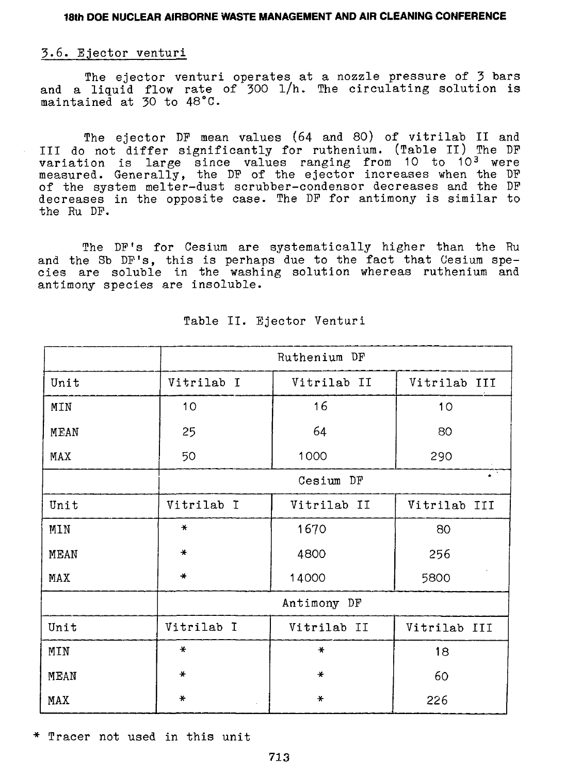#### 3.6. Ejector venturi

The ejector venturi operates at a nozzle pressure of 3 bars and a liquid flow rate of 300 l/h. The circulating solution is maintained at 30 to 48°C.

The ejector DF mean values (64 and 80) of vitrilab II and III do not differ significantly for ruthenium. (Table II) The DP variation is large since values ranging from 10 to 10<sup>3</sup> were measured. Generally, the DF of the ejector increases when the DF of the system melter-dust scrubber-condensor decreases and the DF decreases in the opposite case. The DF for antimony is similar to the Ru DF.

The DF's for Cesium are systematically higher than the Ru and the Sb DF's, this is perhaps due to the fact that Cesium species are soluble in the washing solution whereas ruthenium and antimony species are insoluble.

|      | Ruthenium DF       |                             |              |  |
|------|--------------------|-----------------------------|--------------|--|
| Unit | Vitrilab I         | Vitrilab II<br>Vitrilab III |              |  |
| MIN  | 10 <sub>o</sub>    | 16                          | 10           |  |
| MEAN | 25                 | 64                          | 80           |  |
| MAX  | 50                 | 1000                        | 290          |  |
|      | A.<br>Cesium<br>DF |                             |              |  |
| Unit | Vitrilab I         | Vitrilab II                 | Vitrilab III |  |
| MIN  | $\star$            | 1670                        | 80           |  |
| MEAN | $\ast$             | 4800                        | 256          |  |
| MAX  | $\ast$             | 14000                       | 5800         |  |
|      |                    | Antimony DF                 |              |  |
| Unit | Vitrilab I         | Vitrilab II                 | Vitrilab III |  |
| MIN  | $\ast$             | $\ast$                      | 18           |  |
| MEAN | $\ast$             | $\ast$                      | 60           |  |
| MAX  | $\ast$             | ₩                           | 226          |  |

Table II. Ejector Venturi

\* Tracer not used in this unit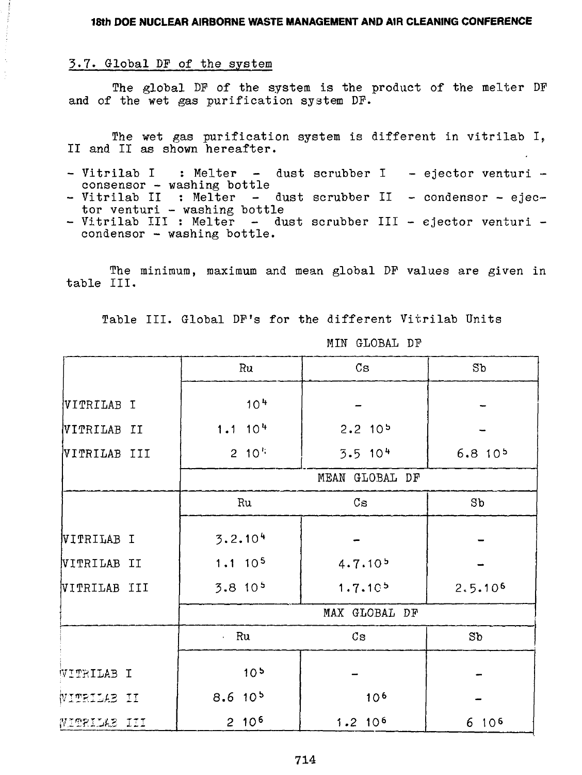# 3.7. Global DF of the system

The global DP of the system is the product of the melter DF and of the wet gas purification system DF.

The wet gas purification system is different in vitrilab I, II and II as shown hereafter.

- Vitrilab I : Melter dust scrubber I ejector venturi consensor - washing bottle
- Vitrilab II : Melter dust scrubber II condensor ejector venturi - washing bottle
- Vitrilab III : Melter dust scrubber III ejector venturi condensor - washing bottle.

The minimum, maximum and mean global DF values are given in table III.

Table III. Global DF's for the different Vitrilab Units

|              | Ru                  | $\mathbb{C}\mathbf{s}$ |                    |  |
|--------------|---------------------|------------------------|--------------------|--|
| VITRILAB I   | 10 <sup>4</sup>     |                        |                    |  |
| VITRILAB II  | $1.1 \cdot 10^{4}$  | $2.2$ 10 <sup>5</sup>  |                    |  |
| VITRILAB III | $2 \t10^{11}$       | $3.5$ 10 <sup>4</sup>  | 6.810 <sup>5</sup> |  |
|              |                     | MEAN GLOBAL DF         |                    |  |
|              | Ru                  | $\mathsf{Cs}$          | S <sub>b</sub>     |  |
| VITRILAB I   | 3.2.104             |                        |                    |  |
| VITRILAB II  | 1.1 10 <sup>5</sup> | 4.7.10 <sup>5</sup>    |                    |  |
| VITRILAB III | 3.810 <sup>5</sup>  | 1.7.10 <sup>5</sup>    | 2.5.106            |  |
|              |                     | MAX GLOBAL DF          |                    |  |
|              | Ru                  | Cs                     | Sb                 |  |
| WITRILAB I   | 10 <sup>5</sup>     |                        |                    |  |
| WITRILAB II  | 8.610 <sup>5</sup>  | 10 <sup>6</sup>        |                    |  |
| WITRILAB III | $2.10^{6}$          | 1.2 10 <sup>6</sup>    | 6 10 <sup>6</sup>  |  |

MIN GLOBAL DF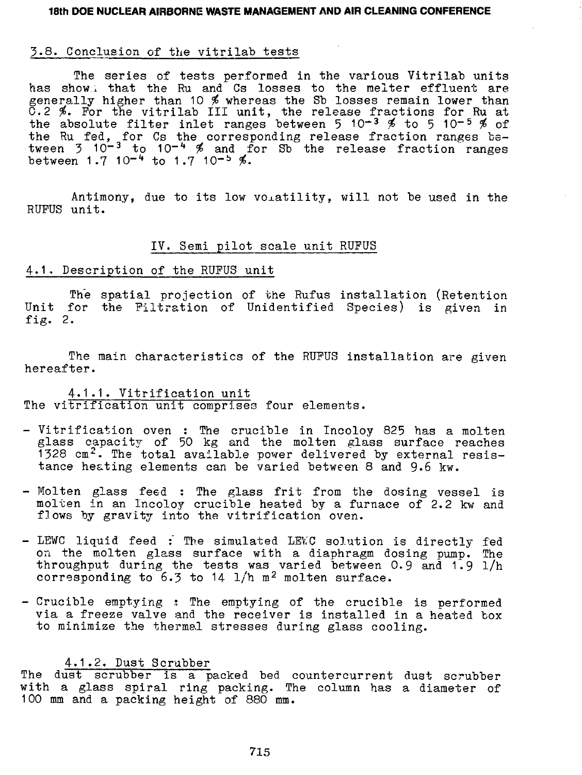# 3.8. Conclusion of the vitrilab tests

The series of tests performed in the various Vitrilab units has show, that the Ru and Cs losses to the raelter effluent are generally higher than 10 \$ whereas the Sb losses remain lower than G.2 #. For the vitrilab III unit, the release fractions for Ru at the absolute filter inlet ranges between 5 10<sup>-3</sup>  $\frac{d}{dx}$  to 5 10<sup>-5</sup>  $\frac{d}{dx}$  of the Ru fed, for Cs the corresponding release fraction ranges between 3 10<sup>-3</sup> to 10<sup>-4</sup> % and for Sb the release fraction ranges between 1.7 10<sup>-4</sup> to 1.7 10<sup>-5</sup> %.

Antimony, due to its low voiatility, will not be used in the RUPUS unit.

# IV. Semi pilot scale unit RUFUS

# 4.1. Description of the RUFUS unit

The spatial projection of the Rufus installation (Retention Unit for the Filtration of Unidentified Species) is given in fig. 2.

The main characteristics of the RUFUS installation are given hereafter.

4.1.1. Vitrification unit The vitrification unit comprises four elements.

- Vitrification oven : The crucible in Incoloy 825 has a molten glass capacity of 50 kg and the molten glass surface reaches 1328 cm<sup>2</sup>. The total available power delivered by external resistance he&ting elements can be varied between 8 and 9.6 kw.
- Molten glass feed : The glass frit from the dosing vessel is molten in an Incoloy crucible heated by a furnace of 2.2 kw and flows by gravity into the vitrification oven.
- LEWC liquid feed : The simulated LEWC solution is directly fed on the molten glass surface with a diaphragm dosing pump. The throughput during the tests was varied between 0.9 and  $1.9$   $1/h$ corresponding to  $6.3$  to  $14 \frac{1}{h}$  m<sup>2</sup> molten surface.
- Crucible emptying ; The emptying of the crucible is performed via a freeze valve and the receiver is installed in a heated box to minimize the thermal stresses during glass cooling.

# 4.1.2. Dust Scrubber

The dust scrubber is a packed bed countercurrent dust scrubber with a glass spiral ring packing. The column has a diameter of 100 mm and a packing height of 880 mm.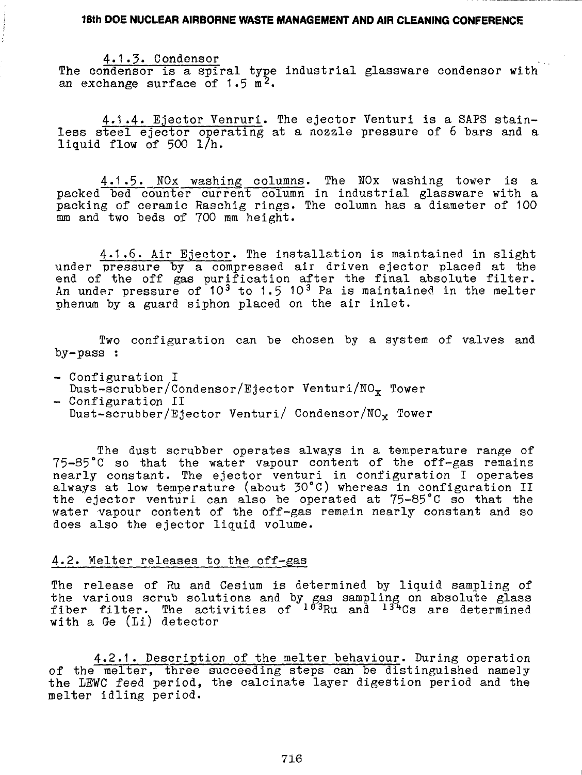4.1.5. Condensor The condensor is a spiral type industrial glassware condensor with an exchange surface of  $1.5 \text{ m}^2$ .

4.1.4» Ejector Venruri. The ejector Venturi is a SAPS stainless steel ejector operating at a nozzle pressure of 6 bars and a liquid flow of 500 1/h.

4.1.5. NOx washing columns. The NOx washing tower is a packed bed counter current column in industrial glassware with a packing of ceramic Raschig rings. The column has a diameter of 100 mm and two beds of 700 mm height.

4.1.6. Air Ejector. The installation is maintained in slight under pressure by a compressed air driven ejector placed at the end of the off gas purification after the final absolute filter. An under pressure of 10<sup>3</sup> to 1.5 10<sup>3</sup> Pa is maintained in the melter phenum by a guard siphon placed on the air inlet.

Two configuration can be chosen by a system of valves and by-pass :

- Configuration I Dust-scrubber/Condensor/Ejector Venturi/NO<sub>x</sub> Tower
- Configuration II Dust-scrubber/Ejector Venturi/ Condensor/NOx Tower

The dust scrubber operates always in a temperature range of 75-85°C so that the water vapour content of the off-gas remains nearly constant. The ejector venturi in configuration I operates always at low temperature (about 30°C) whereas in configuration II the ejector venturi can also be operated at 75-85°C so that the water vapour content of the off-gas remain nearly constant and so does also the ejector liquid volume.

# 4.2. Melter releases to the off-gas

The release of Ru and Cesium is determined by liquid sampling of the various scrub solutions and by gas sampling on absolute glass fiber filter. The activities of <sup>103</sup>Ru and <sup>134</sup>Cs are determine with a Ge (Li) detector

4.2.1. Description of the melter behaviour. During operation of the melter, three succeeding steps can be distinguished namely the LEWC feed period, the calcinate layer digestion period and the melter idling period.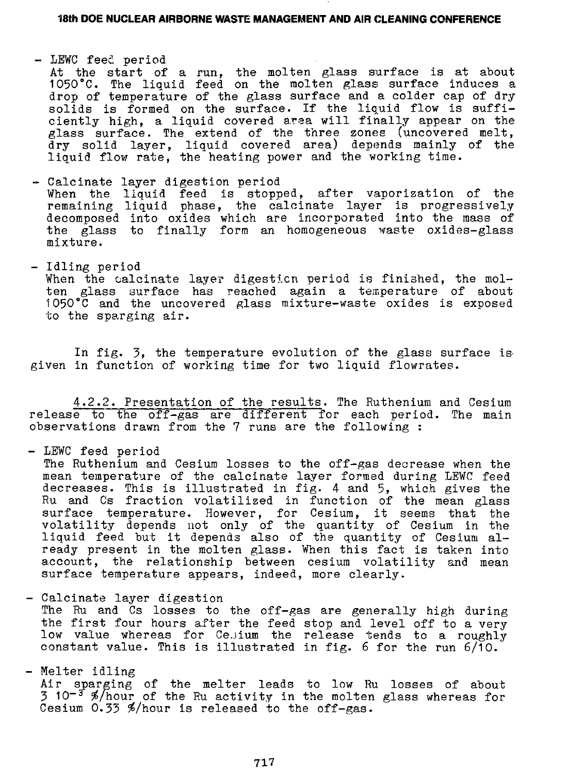- LEWC feed period

At the start of a run, the molten glass surface is at about 1050°C. The liquid feed on the molten glass surface induces a drop of temperature of the glass surface and a colder cap of drysolids is formed on the surface. If the liquid flow is sufficiently high, a liquid covered area will finally appear on the glass surface. The extend of the three zones (uncovered melt, dry solid layer, liquid covered area) depends mainly of the liquid flow rate, the heating power and the working time.

- Calcinate layer digestion period When the liquid feed is stopped, after vaporization of the remaining liquid phase, the calcinate layer is progressively decomposed into oxides which are incorporated into the mass of the glass to finally form an homogeneous waste oxides-glass mixture.
- Idling period

When the calcinate layer digestion period is finished, the molten glass surface has reached again a temperature of about 1050°C and the uncovered glass mixture-waste oxides is exposed to the sparging air.

In fig. 3, the temperature evolution of the glass surface is given in function of working time for two liquid flowrates.

4.2.2. Presentation of the results. The Ruthenium and Cesium release to the off-gas are different for each period. The main observations drawn from the 7 runs are the following :

- LEWC feed period

The Ruthenium and Cesium losses to the off-gas decrease when the mean temperature of the calcinate layer formed during LEWC feed decreases. This is illustrated in fig. 4 and 5, which gives the Ru and Cs fraction volatilized in function of the mean glass surface temperature. However, for Cesium, it seems that the volatility depends not only of the quantity of Cesium in the liquid feed but it depends also of the quantity of Cesium already present in the molten glass. When this fact is taken into account, the relationship between cesium volatility and mean surface temperature appears, indeed, more clearly.

- Calcinate layer digestion

The Ru and Cs losses to the off-gas are generally high during the first four hours after the feed stop and level off to a very low value whereas for Ce.jium the release tends to a roughly constant value. This is illustrated in fig. 6 for the run 6/10.

- Melter idling

Air sparging of the melter leads to low Ru losses of about  $3$  10<sup>-3</sup>  $\frac{4}{\pi}$  hour of the Ru activity in the molten glass whereas for Cesium 0.33 \$/hour is released to the off-gas.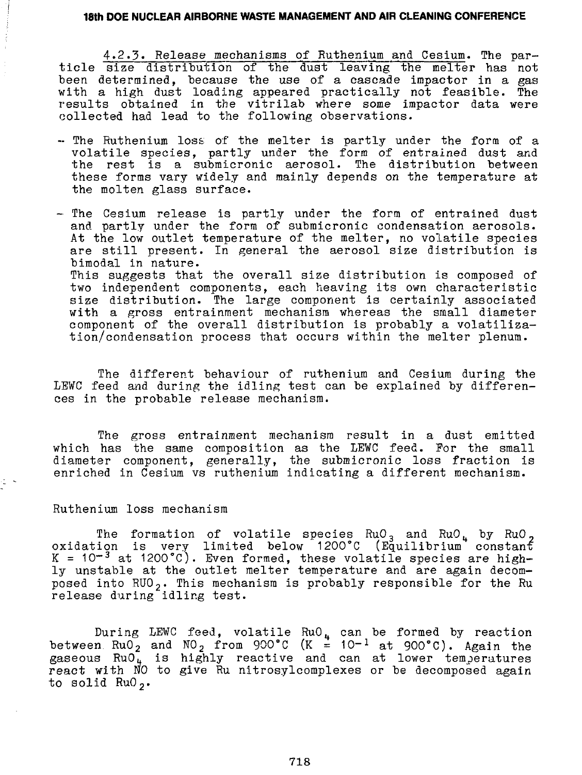4»2.3« Release mechanisms of Ruthenium and Cesium. The particle size distribution of the dust leaving the melter has not been determined, because the use of a cascade impactor in a gas with a high dust loading appeared practically not feasible. The results obtained in the vitrilab where some impactor data were collected had lead to the following observations.

- -- The Ruthenium loss of the melter is partly under the form of a volatile species, partly under the form of entrained dust and the rest is a submicronic aerosol. The distribution between these forms vary widely and mainly depends on the temperature at the molten glass surface.
- The Cesium release is partly under the form of entrained dust and partly under the form of submicronic condensation aerosols. At the low outlet temperature of the melter, no volatile species are still present. In general the aerosol size distribution is bimodal in nature. This suggests that the overall size distribution is composed of two independent components, each heaving its own characteristic size distribution. The large component is certainly associated with a gross entrainment mechanism whereas the small diameter component of the overall distribution is probably a volatilization/condensation process that occurs within the melter plenum.

The different behaviour of ruthenium and Cesium during the LEWC feed and during the idling test can be explained by differences in the probable release mechanism.

The gross entrainment mechanism result in a dust emitted which has the same composition as the LEWC feed. For the small diameter component, generally, the submicronic loss fraction is enriched in Cesium vs ruthenium indicating a different mechanism.

Ruthenium loss mechanism

The formation of volatile species  $\text{RuO}_{3}$  and  $\text{RuO}_{4}$  by  $\text{RuO}_{2}$ oxidation is very limited below 1200°C (Equilibrium constant K = 10 $^{-3}$  at 1200°C). Even formed, these volatile species are highly unstable at the outlet melter temperature and are again decomposed into  $RU0<sub>2</sub>$ . This mechanism is probably responsible for the Ru release during idling test.

During LEWC feed, volatile RuO4 can be formed by reaction between RuO<sub>2</sub> and NO<sub>2</sub> from 900°C (K = 10-<sup>1</sup> at 900°C). Again the gaseous RuO<sub>u</sub> is highly reactive and can at lower temperatures react with NO to give Ru nitrosylcomplexes or be decomposed again to solid  $RuO<sub>2</sub>$ .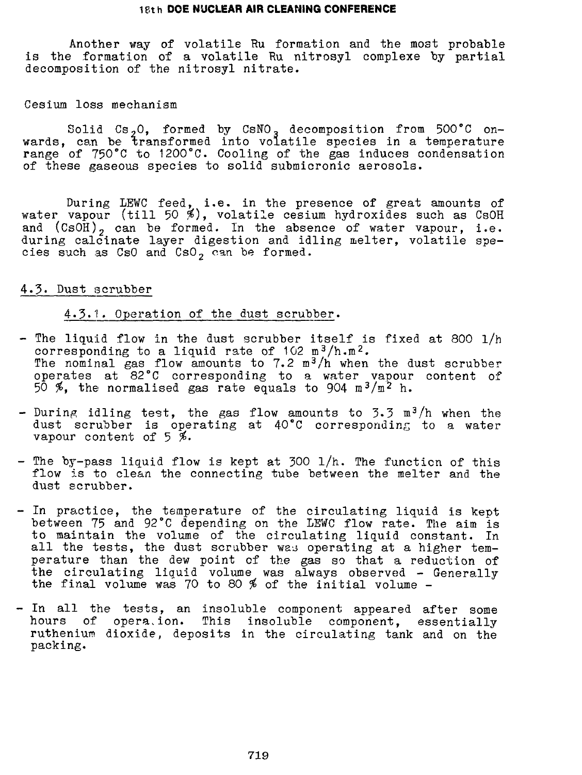Another way of volatile Ru formation and the most probable is the formation of a volatile Ru nitrosyl complexe by partial decomposition of the nitrosyl nitrate.

#### Cesium loss mechanism

Solid  $\texttt{Cs}_{\mathit{2}}\texttt{O}$ , formed by  $\texttt{CSNO}_{\mathit{3}}$  decomposition from 500°C onwards, can be transformed into volatile species in a temperature range of 750°C to 1200°C. Cooling of the gas induces condensation of these gaseous species to solid submicronic aerosols.

During LEWC feed, i.e. in the presence of great amounts of water vapour (till 50 %), volatile cesium hydroxides such as CsOH and (CsOH), can be formed. In the absence of water vapour, i.e. during calcinate layer digestion and idling melter, volatile species such as  $Cs0$  and  $Cs0<sub>2</sub>$  can be formed.

#### 4.3. Dust scrubber

#### 4.3.1. Operation of the dust scrubber.

- The liquid flow in the dust scrubber itself is fixed at 800 1/h corresponding to a liquid rate of  $102 \text{ m}^3/\text{h} \cdot \text{m}^2$ . The nominal gas flow amounts to 7.2 m<sup>3</sup>/h when the dust scrubber operates at 82°C corresponding to a water vapour content of 50 %, the normalised gas rate equals to 904 m<sup>3</sup>/m<sup>2</sup> h.
- During idling test, the gas flow amounts to 3.3  $\texttt{m}^3/\texttt{h}$  when the dust scrubber is operating at 40°C corresponding to a water vapour content of  $5\%$ .
- The by-pass liquid flow is kept at 300 l/h. The function of this flow is to clean the connecting tube between the melter and the dust scrubber.
- In practice, the temperature of the circulating liquid is kept between 75 and 92°C depending on the LEWC flow rate. The aim is to maintain the volume of the circulating liquid constant. In all the tests, the dust scrubber was operating at a higher temperature than the dew point of the gas so that a reduction of the circulating liquid volume was always observed - Generally the final volume was 70 to 80 # of the initial volume -
- In all the tests, an insoluble component appeared after some hours of operation. This insoluble component, essentially ruthenium dioxide, deposits in the circulating tank and on the packing.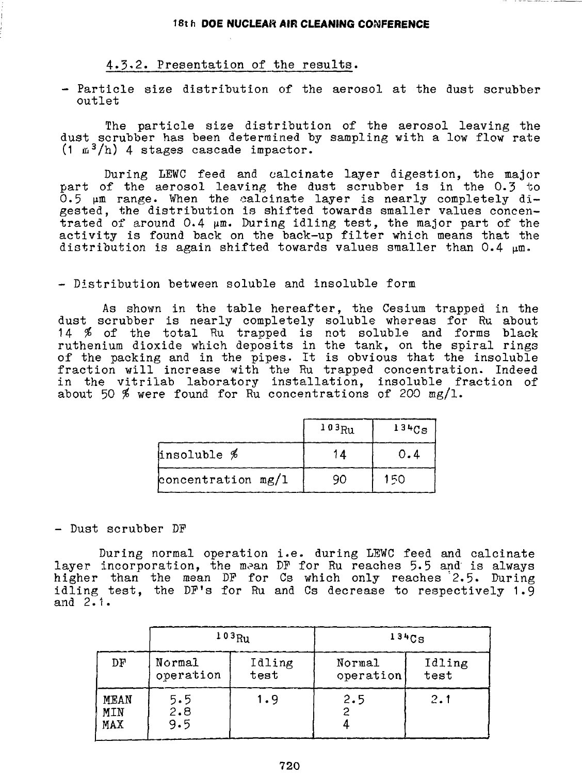### 4.3-2. Presentation of the results.

- Particle size distribution of the aerosol at the dust scrubber outlet

The particle size distribution of the aerosol leaving the dust scrubber has been determined by sampling with a low flow rate  $(1 \t m<sup>3</sup>/h)$  4 stages cascade impactor.

During LEWC feed and calcinate layer digestion, the major part of the aerosol leaving the dust scrubber is in the 0.3 to  $\bar{0}$ .5  $\mu$ m range. When the calcinate layer is nearly completely digested, the distribution is shifted towards smaller values concen- $\bar{t}$ rated of around 0.4  $\mu$ m. During idling test, the major part of the activity is found back on the back-up filter which means that the distribution is again shifted towards values smaller than  $0.4 \mu m$ .

#### - Distribution between soluble and insoluble form

As shown in the table hereafter, the Cesium trapped in the dust scrubber is nearly completely soluble whereas for Ru about 14 # of the total Ru trapped is not soluble and forms black ruthenium dioxide which deposits in the tank, on the spiral rings of the packing and in the pipes. It is obvious that the insoluble fraction will increase with the Ru trapped concentration. Indeed in the vitrilab laboratory installation, insoluble fraction of about 50 % were found for Ru concentrations of 200 mg/l.

|                      | $103_{\text{Ru}}$ | $134C_S$ |
|----------------------|-------------------|----------|
| insoluble %          | 1Δ                | 0.4      |
| concentration $mg/1$ | 90                | 150      |

#### - Dust scrubber DP

During normal operation i.e. during LEWC feed and calcinate layer incorporation, the mean DF for Ru reaches 5.5 and is always higher than the mean DP for Cs which only reaches 2.5» During idling test, the DP's for Ru and Cs decrease to respectively 1.9 and 2.1.

|                    | 103R <sub>U</sub>   |                |                     |                |  | 134Cg |
|--------------------|---------------------|----------------|---------------------|----------------|--|-------|
| DF                 | Normal<br>operation | Idling<br>test | Normal<br>operation | Idling<br>test |  |       |
| MEAN<br>MIN<br>MAX | 5.5<br>2.8<br>9.5   | 1.9            | 2.5                 | 2.1            |  |       |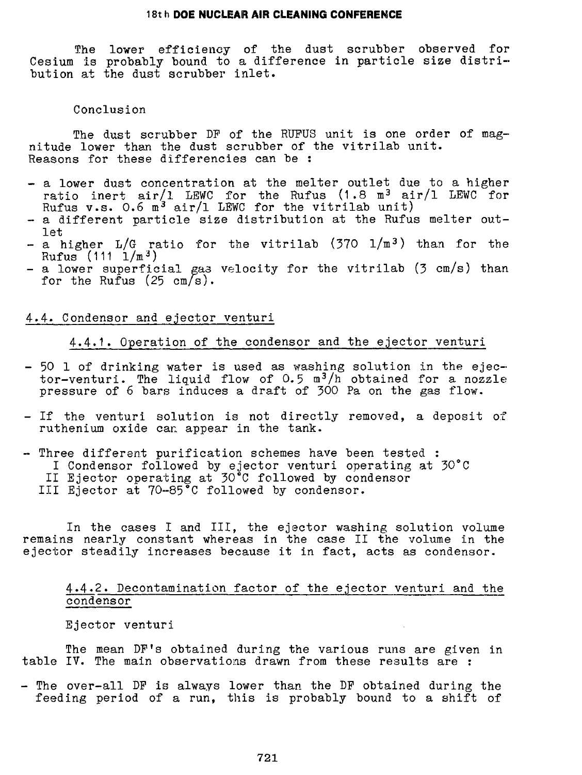The lower efficiency of the dust scrubber observed for Cesium is probably bound to a difference in particle size distribution at the dust scrubber inlet.

### Conclusion

The dust scrubber DP of the RUPUS unit is one order of magnitude lower than the dust scrubber of the vitrilab unit. Reasons for these differencies can be :

- a lower dust concentration at the melter outlet due to a higher ratio inert air/l LEWC for the Rufus  $(1.8 \text{ m}^3 \text{ air}/1 \text{ LEWC for})$ Rufus  $v.s.$  0.6 m<sup>3</sup> air/1 LEWC for the vitrilab unit)
- a different particle size distribution at the Rufus melter outlet
- a higher  $L/G$  ratio for the vitrilab (370  $1/m^3$ ) than for the  $Rufus$  (111  $1/m^{3}$ )
- a lower superficial gas velocity for the vitrilab (3 cm/s) than for the Rufus  $(25 \text{ cm/s}).$

### 4.4. Condensor and ejector venturi

### 4.4.1. Operation of the condensor and the ejector venturi

- 50 1 of drinking water is used as washing solution in the ejector-venturi. The liquid flow of  $0.5 \text{ m}^3/\text{h}$  obtained for a nozzle pressure of 6 bars induces a draft of 300 Pa on the gas flow.
- If the venturi solution is not directly removed, a deposit of ruthenium oxide can appear in the tank.
- Three different purification schemes have been tested : I Condensor followed by ejector venturi operating at 30°C II Ejector operating at 30°C followed by condensor III Ejector at 70-85°C followed by condensor.

In the cases I and III, the ejector washing solution volume remains nearly constant whereas in the case II the volume in the ejector steadily increases because it in fact, acts as condensor.

# 4.4.2. Decontamination factor of the ejector venturi and the condensor

Ejector venturi

The mean DF's obtained during the various runs are given in table IV. The main observations drawn from these results are :

- The over-all DP is always lower than the DP obtained during the feeding period of a run, this is probably bound to a shift of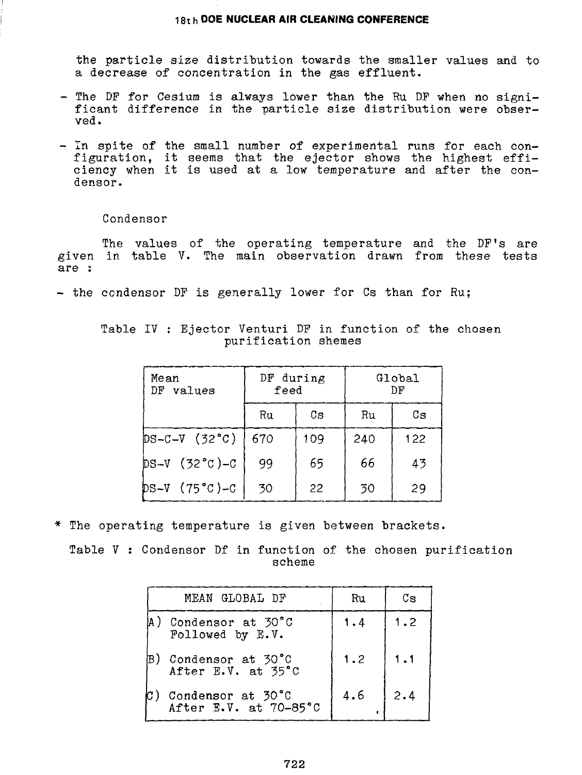the particle size distribution towards the smaller values and to a decrease of concentration in the gas effluent.

- $-$  The DF for Cesium is always lower than the Ru DF when no significant difference in the particle size distribution were observed.
- In spite of the small number of experimental runs for each configuration, it seems that the ejector shows the highest efficiency when it is used at a low temperature and after the condensor.

Condensor

The values of the operating temperature and the DF's are given in table V. The main observation drawn from these tests are :

- the condensor DF is generally lower for Cs than for Ru;

| Mean<br>DF<br>values | DF during<br>feed |     | Global<br>ħ۳ |     |
|----------------------|-------------------|-----|--------------|-----|
|                      | Ru                | Cs  | Ru           | Сs  |
| $DS-C-V$ (32 $°C$ )  | 670               | 109 | 240          | 122 |
| $DS-V (32 °C) - C$   | 99                | 65  | 66           | 43  |
| $DS-V$ (75 °C)-C     | 30                | 22  | 30           | 29  |

Table IV : Ejector Venturi DP in function of the chosen purification shemes

\* The operating temperature is given between brackets.

Table V : Condensor Df in function of the chosen purification scheme

|     | MEAN GLOBAL DF                             | Ru  | Сs  |
|-----|--------------------------------------------|-----|-----|
|     | ) Condensor at 30°C<br>Followed by E.V.    | 1.4 | 1.2 |
| IB) | Condensor at 30°C<br>After E.V. at 35°C    | 1.2 | 1.1 |
|     | Condensor at 30°C<br>After E.V. at 70-85°C | 4.6 | 2.4 |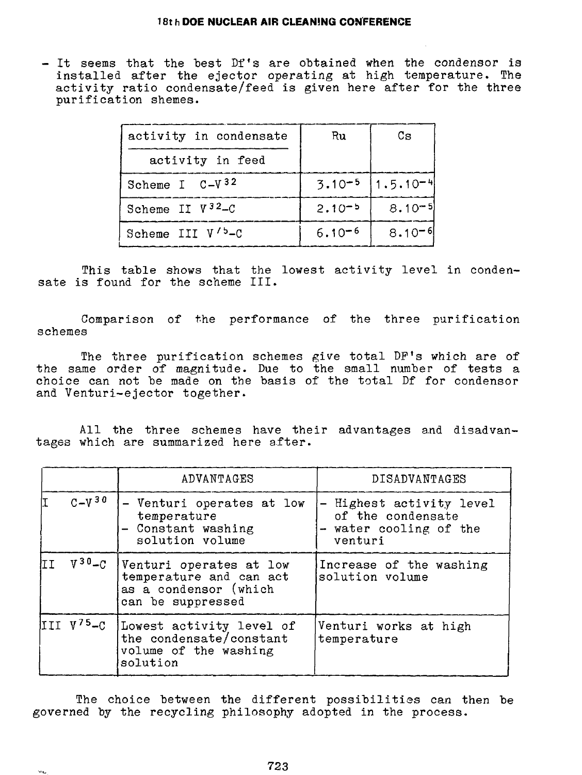- It seems that the best Df's are obtained when the condensor is installed after the ejector operating at high temperature. The activity ratio condensate/feed is given here after for the three purification shemes.

| activity in condensate       | Ru         | Сs                                 |
|------------------------------|------------|------------------------------------|
| activity in feed             |            |                                    |
| Scheme I $C-V^{32}$          |            | $3.10^{-5}$   1.5.10 <sup>-4</sup> |
| Scheme II $V^{32}-C$         | $2.10 - 5$ | $8.10 - 5$                         |
| Scheme III V' <sup>5-C</sup> | $6.10 - 6$ | $8.10 - 6$                         |

This table shows that the lowest activity level in condensate is found for the scheme III.

Comparison of the performance of the three purification schemes

The three purification schemes give total DP's which are of the same order of magnitude. Due to the small number of tests a choice can not be made on the basis of the total Df for condensor and Venturi-ejector together.

All the three schemes have their advantages and disadvantages which are summarized here after.

|      |                 | ADVANTAGES                                                                                       | DISADVANTAGES                                                                      |
|------|-----------------|--------------------------------------------------------------------------------------------------|------------------------------------------------------------------------------------|
|      | $C - V^{30}$    | - Venturi operates at low<br>temperature<br>- Constant washing<br>solution volume                | - Highest activity level<br>of the condensate<br>- water cooling of the<br>venturi |
| lt I | $V^{30} - C$    | Venturi operates at low<br>temperature and can act<br>as a condensor (which<br>can be suppressed | Increase of the washing<br>solution volume                                         |
|      | III $V^{75}$ -C | Lowest activity level of<br>the condensate/constant<br>volume of the washing<br>solution         | Venturi works at high<br>temperature                                               |

The choice between the different possibilities can then be governed by the recycling philosophy adopted in the process.

 $\omega_{\rm{th}}$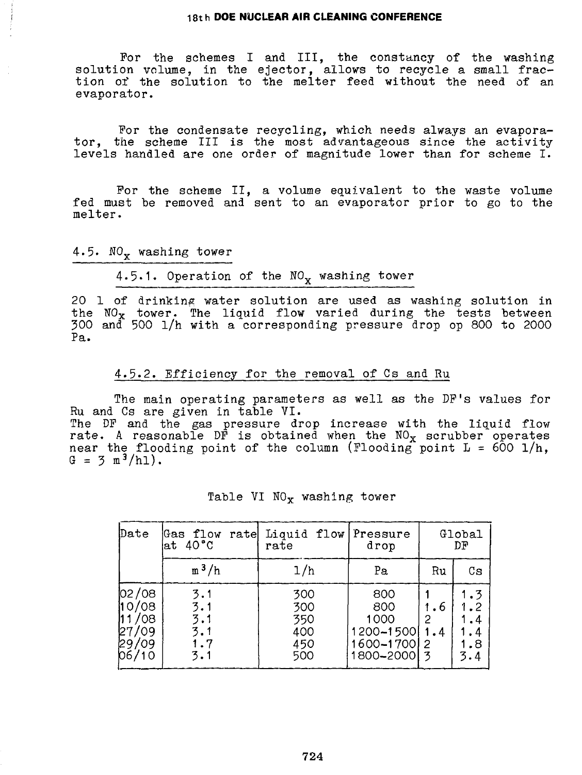For the schemes I and III, the constancy of the washing solution volume, in the ejector, allows to recycle a small fraction of the solution to the melter feed without the need of an evaporator.

For the condensate recycling, which needs always an evaporator, the scheme III is the most advantageous since the activity levels handled are one order of magnitude lower than for scheme I.

For the scheme II, a volume equivalent to the waste volume fed must be removed and sent to an evaporator prior to go to the melter.

4.5.  $NO_x$  washing tower

# 4.5.1. Operation of the  $NO_x$  washing tower

20 1 of drinking water solution are used as washing solution in the  $\texttt{NO}_\textbf{X}$  tower. The liquid flow varied during the tests between 300 and 500 l/h with a corresponding pressure drop op 800 to 2000 Pa.

### 4.5.2. Efficiency for the removal of Cs and Ru

The main operating parameters as well as the DF's values for Ru and Cs are given in table VI. The DF and the gas pressure drop increase with the liquid flow

rate. A reasonable DF is obtained when the  $\mathtt{NO_{X}}$  scrubber operates near the flooding point of the column (Flooding point  $L = 600$  l/h,  $G = 3 \text{ m}^3/h1$ .

| Date                                                | Gas flow<br>ratel<br>at 40°C           | Liquid flow Pressure<br>$_\mathrm{rate}$ | drop                                                          |            | Global<br>DF                               |  |
|-----------------------------------------------------|----------------------------------------|------------------------------------------|---------------------------------------------------------------|------------|--------------------------------------------|--|
|                                                     | $m^3/h$                                | 1/h                                      | Рa                                                            | Ru         | Cs                                         |  |
| 02/08<br>110/08<br>11/08<br>27/09<br>29/09<br>06/10 | 3.1<br>3.1<br>3.1<br>3.1<br>1.7<br>3.1 | 300<br>300<br>350<br>400<br>450<br>500   | 800<br>800<br>1000<br>1200-1500<br>1600-1700   2<br>1800-2000 | . 6<br>1.4 | 1.3<br>1.2<br>$\cdot$<br>. 4<br>1.8<br>3.4 |  |

#### Table VI  $NO<sub>x</sub>$  washing tower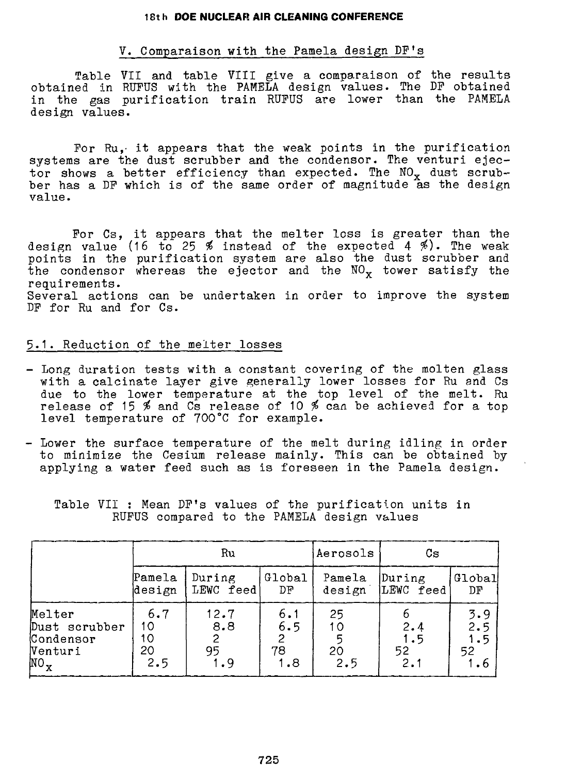#### V. Comparaison with the Pamela design DF's

Table VII and table VIII give a comparaison of the results obtained in RUFUS with the PAMELA design values. The DF obtained in the gas purification train RUFUS are lower than the PAMELA design values.

For Ru, it appears that the weak points in the purification systems are the dust scrubber and the condensor. The venturi ejector shows a better efficiency than expected. The  $NO_x$  dust scrubber has a DF which is of the same order of magnitude as the design value.

Por Cs, it appears that the melter loss is greater than the design value (16 to 25  $\frac{25}{100}$  instead of the expected 4  $\frac{25}{100}$ . The weak points in the purification system are also the dust scrubber and the condensor whereas the ejector and the  $\mathtt{NO_{X}}$  tower satisfy the requirements. Several actions can be undertaken in order to improve the system DP for Ru and for Cs.

#### 5.1. Reduction of the melter losses

- Long duration tests with a constant covering of the molten glass with a calcinate layer give generally lower losses for Ru and Cs due to the lower temperature at the top level of the melt. Ru release of 15  $\%$  and Cs release of 10  $\%$  can be achieved for a top level temperature of 700°C for example.
- Lower the surface temperature of the melt during idling in order to minimize the Cesium release mainly. This can be obtained by applying a water feed such as is foreseen in the Pamela design.

|                                                         | Ru                           |                          |                         | Aerosols              | Сs                      |                         |
|---------------------------------------------------------|------------------------------|--------------------------|-------------------------|-----------------------|-------------------------|-------------------------|
|                                                         | Pamela<br>design             | During<br>LEWC feed)     | Global<br>DF            | Pamela<br>design      | During<br>LEWC feed     | Global<br>DF            |
| Melter<br>Dust scrubber<br>Condensor<br>Venturi<br>NO., | 6.7<br>10<br>10<br>20<br>2.5 | 12.7<br>8.8<br>95<br>1.9 | 6.1<br>6.5<br>78<br>1.8 | 25<br>10<br>20<br>2.5 | 2.4<br>1.5<br>52<br>2.1 | 3.9<br>2.5<br>1.5<br>52 |

Table VII : Mean DP's values of the purification units in RUPUS compared to the PAMELA design values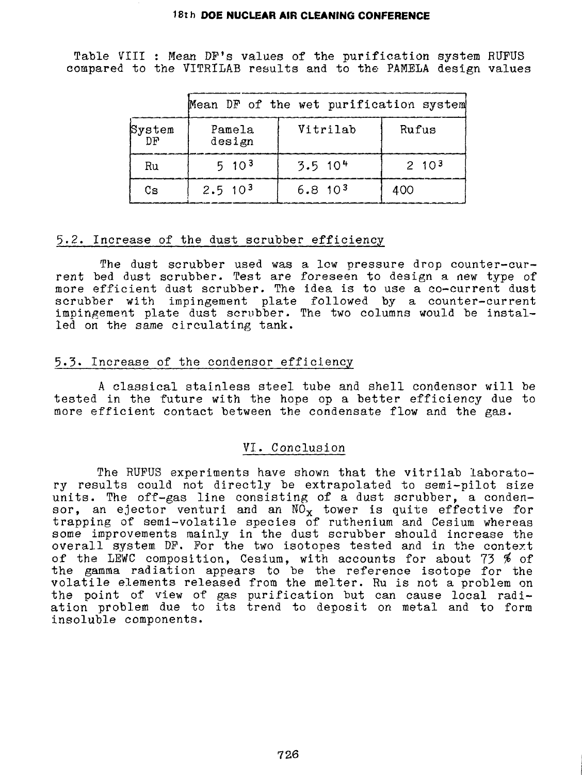Table VIII : Mean DP's values of the purification system RUFUS compared to the VITRILAB results and to the PAMELA design values

|               |                  | Mean DF of the wet purification system |             |
|---------------|------------------|----------------------------------------|-------------|
| System<br>DP. | Pamela<br>design | Vitrilab                               | Rufus       |
| Ru            | $5 \cdot 10^{3}$ | $3.5$ 10 <sup>4</sup>                  | $2, 10^{3}$ |
| Сs            | $2.5 \ \ 10^{3}$ | $6.8, 10^{3}$                          | 400         |

# 5-2. Increase of the dust scrubber efficiency

The dust scrubber used was a low pressure drop counter-current bed dust scrubber. Test are foreseen to design a new type of more efficient dust scrubber. The idea is to use a co-current dust scrubber with impingement plate followed by a counter-current impingement plate dust scrubber. The two columns would be installed on the same circulating tank.

# 5.3« Increase of the condensor efficiency

A classical stainless steel tube and shell condensor will be tested in the future with the hope op a better efficiency due to more efficient contact between the condensate flow and the gas.

### VI. Conclusion

The RUPUS experiments have shown that the vitrilab laboratory results could not directly be extrapolated to semi-pilot size units. The off-gas line consisting of a dust scrubber, a condensor, an ejector venturi and an  $\mathtt{NO_{X}}$  tower is quite effective for trapping of semi-volatile species of ruthenium and Cesium whereas some improvements mainly in the dust scrubber should increase the overall system DP. For the two isotopes tested and in the context of the LEWC composition, Cesium, with accounts for about 73 % of the gamma radiation appears to be the reference isotope for the volatile elements released from the melter. Ru is not a problem on the point of view of gas purification but can cause local radiation problem due to its trend to deposit on metal and to form insoluble components.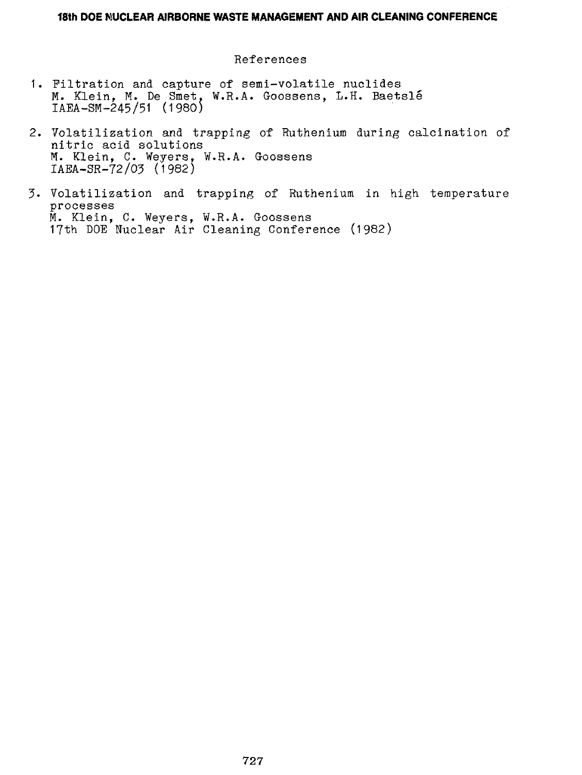References

- 1. Filtration and capture of semi-volatile nuclides M. Klein, M. De Smet, W.R.A. Goossens, L.H. Baetsle IAEA-SM-245/51 (1980)
- 2. Volatilization and trapping of Ruthenium during calcination of nitric acid solutions M. Klein, C. Weyers, W.R.A. Goossens IABA-SR-72/03 (1982)
- 3- Volatilization and trapping of Ruthenium in high temperature processes M. Klein, C. Weyers, W.R.A. Goossens 17th DOE Nuclear Air Cleaning Conference (1982)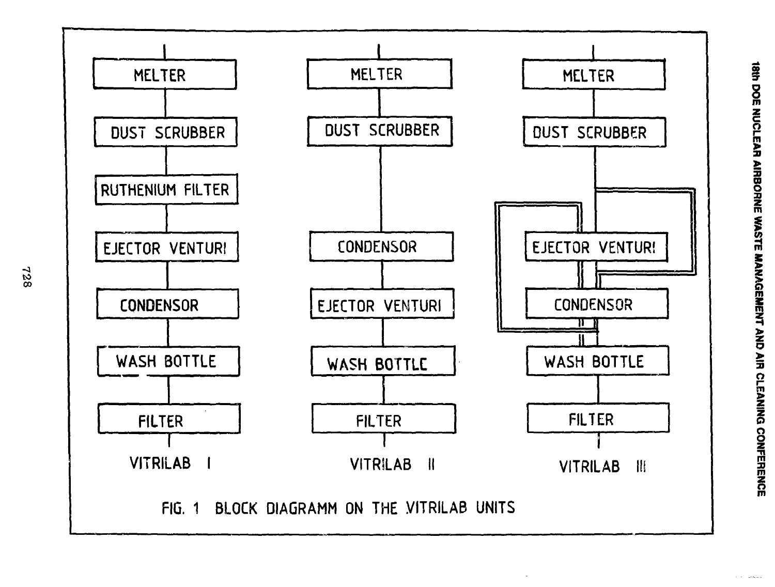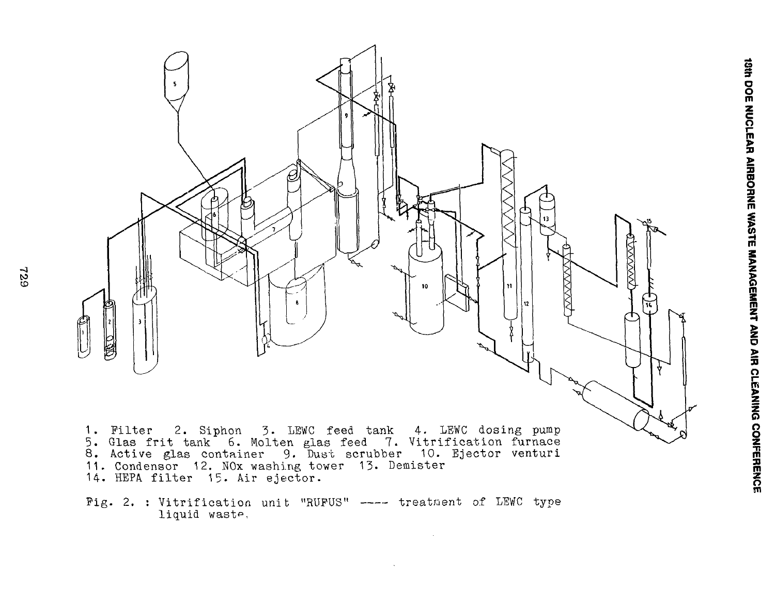

Fig. 2. : Vitrification unit "RUFUS" ---- treatment of LEWC type liquid waste.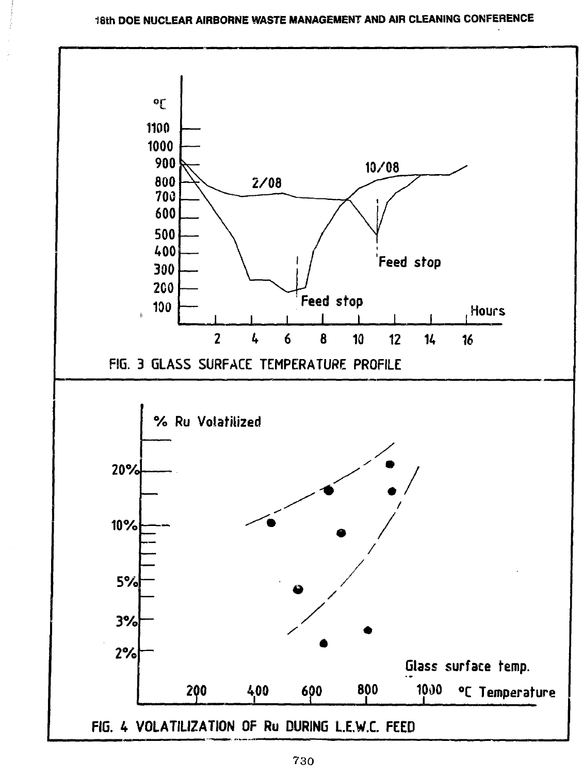

**730**